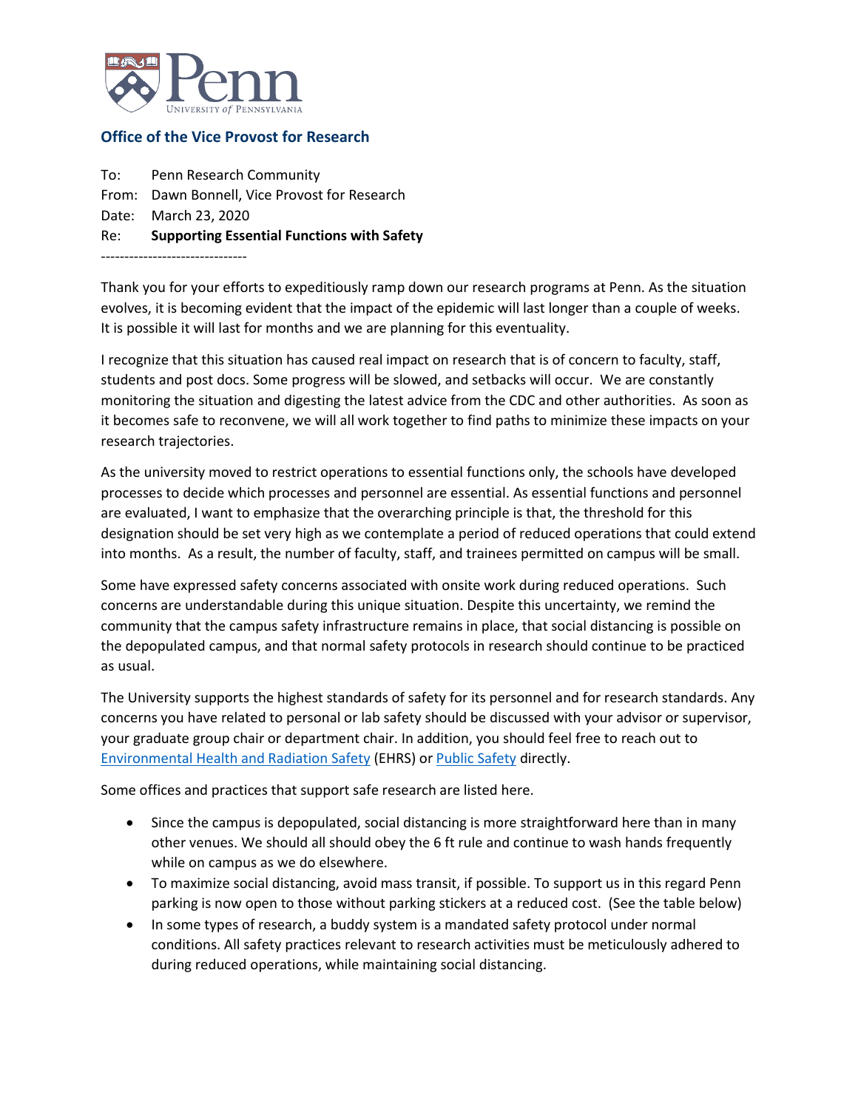

## **Office of the Vice Provost for Research**

To: Penn Research Community From: Dawn Bonnell, Vice Provost for Research Date: March 23, 2020 Re: **Supporting Essential Functions with Safety** -------------------------------

Thank you for your efforts to expeditiously ramp down our research programs at Penn. As the situation evolves, it is becoming evident that the impact of the epidemic will last longer than a couple of weeks. It is possible it will last for months and we are planning for this eventuality.

I recognize that this situation has caused real impact on research that is of concern to faculty, staff, students and post docs. Some progress will be slowed, and setbacks will occur. We are constantly monitoring the situation and digesting the latest advice from the CDC and other authorities. As soon as it becomes safe to reconvene, we will all work together to find paths to minimize these impacts on your research trajectories.

As the university moved to restrict operations to essential functions only, the schools have developed processes to decide which processes and personnel are essential. As essential functions and personnel are evaluated, I want to emphasize that the overarching principle is that, the threshold for this designation should be set very high as we contemplate a period of reduced operations that could extend into months. As a result, the number of faculty, staff, and trainees permitted on campus will be small.

Some have expressed safety concerns associated with onsite work during reduced operations. Such concerns are understandable during this unique situation. Despite this uncertainty, we remind the community that the campus safety infrastructure remains in place, that social distancing is possible on the depopulated campus, and that normal safety protocols in research should continue to be practiced as usual.

The University supports the highest standards of safety for its personnel and for research standards. Any concerns you have related to personal or lab safety should be discussed with your advisor or supervisor, your graduate group chair or department chair. In addition, you should feel free to reach out to [Environmental Health and Radiation Safety](https://ehrs.upenn.edu/) (EHRS) o[r Public Safety](https://www.publicsafety.upenn.edu/) directly.

Some offices and practices that support safe research are listed here.

- Since the campus is depopulated, social distancing is more straightforward here than in many other venues. We should all should obey the 6 ft rule and continue to wash hands frequently while on campus as we do elsewhere.
- To maximize social distancing, avoid mass transit, if possible. To support us in this regard Penn parking is now open to those without parking stickers at a reduced cost. (See the table below)
- In some types of research, a buddy system is a mandated safety protocol under normal conditions. All safety practices relevant to research activities must be meticulously adhered to during reduced operations, while maintaining social distancing.